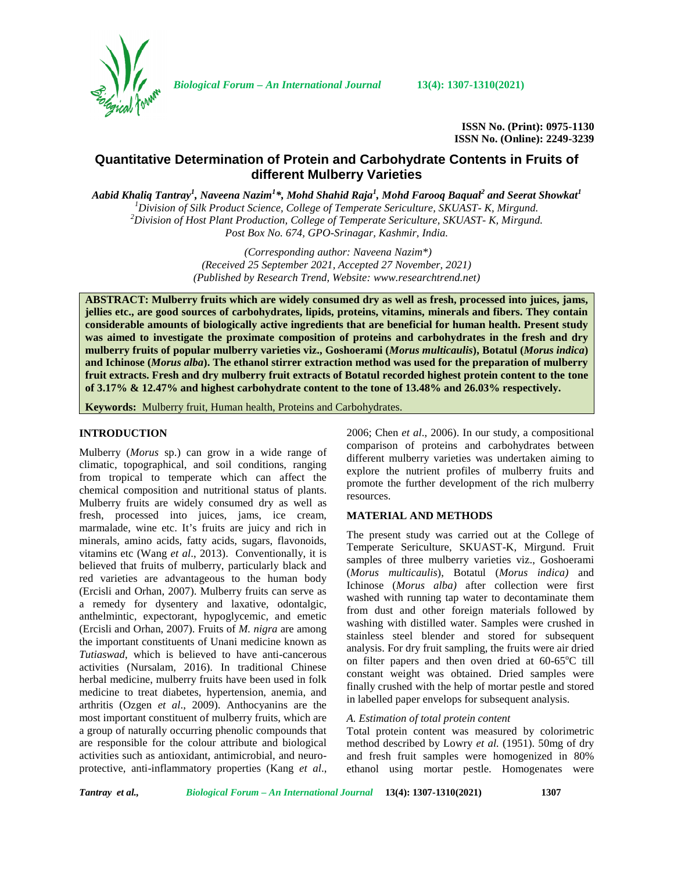

*Biological Forum – An International Journal* **13(4): 1307-1310(2021)**

**ISSN No. (Print): 0975-1130 ISSN No. (Online): 2249-3239**

# **Quantitative Determination of Protein and Carbohydrate Contents in Fruits of different Mulberry Varieties**

*Aabid Khaliq Tantray<sup>1</sup> , Naveena Nazim<sup>1</sup>\*, Mohd Shahid Raja<sup>1</sup> , Mohd Farooq Baqual<sup>2</sup> and Seerat Showkat<sup>1</sup>* <sup>1</sup>Division of Silk Product Science, College of Temperate Sericulture,  $\overline{SKUAST}$ - K, Mirgund.<br><sup>2</sup>Division of Host Plant Production, College of Temperate Sericulture, SKUAST- K, Mirgund. *Post Box No. 674, GPO-Srinagar, Kashmir, India.*

> *(Corresponding author: Naveena Nazim\*) (Received 25 September 2021, Accepted 27 November, 2021) (Published by Research Trend, Website: [www.researchtrend.net\)](www.researchtrend.net)*

**ABSTRACT: Mulberry fruits which are widely consumed dry as well as fresh, processed into juices, jams, jellies etc., are good sources of carbohydrates, lipids, proteins, vitamins, minerals and fibers. They contain considerable amounts of biologically active ingredients that are beneficial for human health. Present study was aimed to investigate the proximate composition of proteins and carbohydrates in the fresh and dry mulberry fruits of popular mulberry varieties viz., Goshoerami (***Morus multicaulis***), Botatul (***Morus indica***) and Ichinose (***Morus alba***). The ethanol stirrer extraction method was used for the preparation of mulberry fruit extracts. Fresh and dry mulberry fruit extracts of Botatul recorded highest protein content to the tone of 3.17% & 12.47% and highest carbohydrate content to the tone of 13.48% and 26.03% respectively.**

**Keywords:** Mulberry fruit, Human health, Proteins and Carbohydrates.

### **INTRODUCTION**

Mulberry (*Morus* sp.) can grow in a wide range of climatic, topographical, and soil conditions, ranging from tropical to temperate which can affect the chemical composition and nutritional status of plants. Mulberry fruits are widely consumed dry as well as fresh, processed into juices, jams, ice cream, marmalade, wine etc. It's fruits are juicy and rich in minerals, amino acids, fatty acids, sugars, flavonoids, vitamins etc (Wang *et al*., 2013). Conventionally, it is believed that fruits of mulberry, particularly black and red varieties are advantageous to the human body (Ercisli and Orhan, 2007). Mulberry fruits can serve as a remedy for dysentery and laxative, odontalgic, anthelmintic, expectorant, hypoglycemic, and emetic (Ercisli and Orhan, 2007). Fruits of *M. nigra* are among the important constituents of Unani medicine known as *Tutiaswad*, which is believed to have anti-cancerous activities (Nursalam, 2016). In traditional Chinese herbal medicine, mulberry fruits have been used in folk medicine to treat diabetes, hypertension, anemia, and arthritis (Ozgen *et al*., 2009). Anthocyanins are the most important constituent of mulberry fruits, which are a group of naturally occurring phenolic compounds that are responsible for the colour attribute and biological activities such as antioxidant, antimicrobial, and neuro protective, anti-inflammatory properties (Kang *et al*.,

2006; Chen *et al*., 2006). In our study, a compositional comparison of proteins and carbohydrates between different mulberry varieties was undertaken aiming to explore the nutrient profiles of mulberry fruits and promote the further development of the rich mulberry resources.

### **MATERIAL AND METHODS**

The present study was carried out at the College of Temperate Sericulture, SKUAST-K, Mirgund. Fruit samples of three mulberry varieties viz., Goshoerami (*Morus multicaulis*), Botatul (*Morus indica)* and Ichinose (*Morus alba)* after collection were first washed with running tap water to decontaminate them from dust and other foreign materials followed by washing with distilled water. Samples were crushed in stainless steel blender and stored for subsequent analysis. For dry fruit sampling, the fruits were air dried on filter papers and then oven dried at  $60-65^{\circ}$ C till constant weight was obtained. Dried samples were finally crushed with the help of mortar pestle and stored in labelled paper envelops for subsequent analysis.

### *A. Estimation of total protein content*

Total protein content was measured by colorimetric method described by Lowry *et al.* (1951). 50mg of dry and fresh fruit samples were homogenized in 80% ethanol using mortar pestle. Homogenates were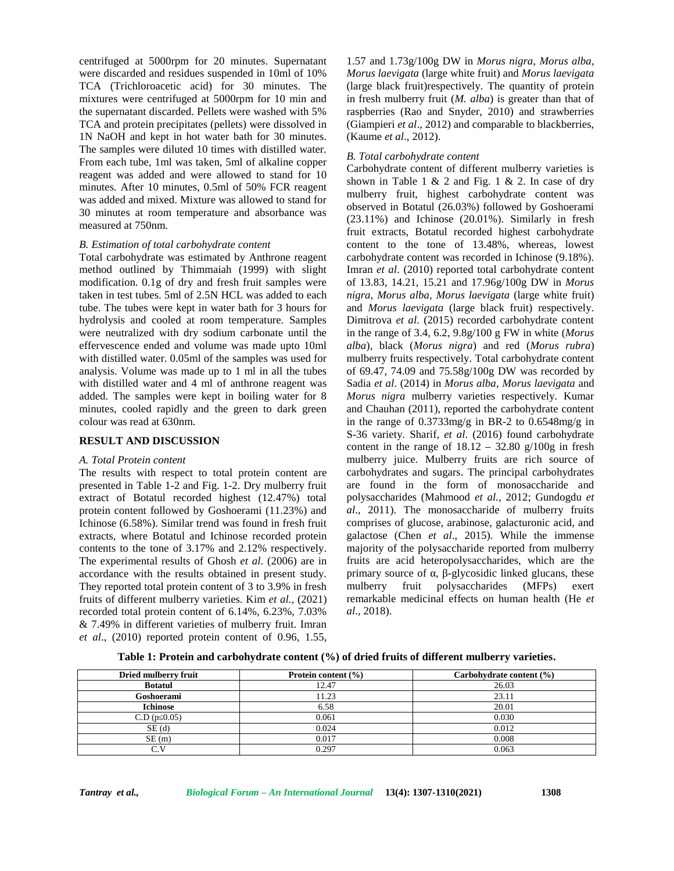centrifuged at 5000rpm for 20 minutes. Supernatant were discarded and residues suspended in 10ml of 10% TCA (Trichloroacetic acid) for 30 minutes. The mixtures were centrifuged at 5000rpm for 10 min and the supernatant discarded. Pellets were washed with 5% TCA and protein precipitates (pellets) were dissolved in 1N NaOH and kept in hot water bath for 30 minutes. The samples were diluted 10 times with distilled water. From each tube, 1ml was taken, 5ml of alkaline copper reagent was added and were allowed to stand for 10 minutes. After 10 minutes, 0.5ml of 50% FCR reagent was added and mixed. Mixture was allowed to stand for 30 minutes at room temperature and absorbance was measured at 750nm.

#### *B. Estimation of total carbohydrate content*

Total carbohydrate was estimated by Anthrone reagent method outlined by Thimmaiah (1999) with slight modification. 0.1g of dry and fresh fruit samples were taken in test tubes. 5ml of 2.5N HCL was added to each tube. The tubes were kept in water bath for 3 hours for hydrolysis and cooled at room temperature. Samples were neutralized with dry sodium carbonate until the effervescence ended and volume was made upto 10ml with distilled water. 0.05ml of the samples was used for analysis. Volume was made up to 1 ml in all the tubes with distilled water and 4 ml of anthrone reagent was added. The samples were kept in boiling water for 8 minutes, cooled rapidly and the green to dark green colour was read at 630nm.

#### **RESULT AND DISCUSSION**

#### *A. Total Protein content*

The results with respect to total protein content are presented in Table 1-2 and Fig. 1-2. Dry mulberry fruit extract of Botatul recorded highest (12.47%) total protein content followed by Goshoerami (11.23%) and Ichinose (6.58%). Similar trend was found in fresh fruit extracts, where Botatul and Ichinose recorded protein contents to the tone of 3.17% and 2.12% respectively. The experimental results of Ghosh *et al*. (2006) are in accordance with the results obtained in present study. They reported total protein content of 3 to 3.9% in fresh mulberry fruits of different mulberry varieties. Kim *et al.,* (2021) recorded total protein content of 6.14%, 6.23%, 7.03% & 7.49% in different varieties of mulberry fruit. Imran *et al*., (2010) reported protein content of 0.96, 1.55,

1.57 and 1.73g/100g DW in *Morus nigra, Morus alba, Morus laevigata* (large white fruit) and *Morus laevigata* (large black fruit)respectively. The quantity of protein in fresh mulberry fruit (*M. alba*) is greater than that of raspberries (Rao and Snyder, 2010) and strawberries (Giampieri *et al*., 2012) and comparable to blackberries, (Kaume *et al*., 2012).

#### *B. Total carbohydrate content*

Carbohydrate content of different mulberry varieties is shown in Table 1 & 2 and Fig. 1 & 2. In case of dry mulberry fruit, highest carbohydrate content was observed in Botatul (26.03%) followed by Goshoerami (23.11%) and Ichinose (20.01%). Similarly in fresh fruit extracts, Botatul recorded highest carbohydrate content to the tone of 13.48%, whereas, lowest carbohydrate content was recorded in Ichinose (9.18%). Imran *et al*. (2010) reported total carbohydrate content of 13.83, 14.21, 15.21 and 17.96g/100g DW in *Morus nigra, Morus alba, Morus laevigata* (large white fruit) and *Morus laevigata* (large black fruit) respectively. Dimitrova *et al*. (2015) recorded carbohydrate content in the range of 3.4, 6.2, 9.8g/100 g FW in white (*Morus alba*), black (*Morus nigra*) and red (*Morus rubra*) mulberry fruits respectively. Total carbohydrate content of 69.47, 74.09 and 75.58g/100g DW was recorded by Sadia *et al*. (2014) in *Morus alba*, *Morus laevigata* and *Morus nigra* mulberry varieties respectively. Kumar and Chauhan (2011), reported the carbohydrate content in the range of 0.3733mg/g in BR-2 to 0.6548mg/g in S-36 variety. Sharif, *et al*. (2016) found carbohydrate content in the range of  $18.12 - 32.80$  g/100g in fresh mulberry juice. Mulberry fruits are rich source of carbohydrates and sugars. The principal carbohydrates are found in the form of monosaccharide and polysaccharides (Mahmood *et al.,* 2012; Gundogdu *et al*., 2011). The monosaccharide of mulberry fruits comprises of glucose, arabinose, galacturonic acid, and galactose (Chen *et al*., 2015). While the immense majority of the polysaccharide reported from mulberry fruits are acid heteropolysaccharides, which are the primary source of, -glycosidic linked glucans, these fruit polysaccharides (MFPs) exert remarkable medicinal effects on human health (He *et al*., 2018).

|  | Table 1: Protein and carbohydrate content (%) of dried fruits of different mulberry varieties. |  |
|--|------------------------------------------------------------------------------------------------|--|
|  |                                                                                                |  |

| Dried mulberry fruit | Protein content (%) | Carbohydrate content $(\% )$ |
|----------------------|---------------------|------------------------------|
| <b>Botatul</b>       | 12.47               | 26.03                        |
| Goshoerami           | 11.23               | 23.11                        |
| <b>Ichinose</b>      | 6.58                | 20.01                        |
| C.D(p 0.05)          | 0.061               | 0.030                        |
| SE(d)                | 0.024               | 0.012                        |
| SE(m)                | 0.017               | 0.008                        |
| C.V                  | 0.297               | 0.063                        |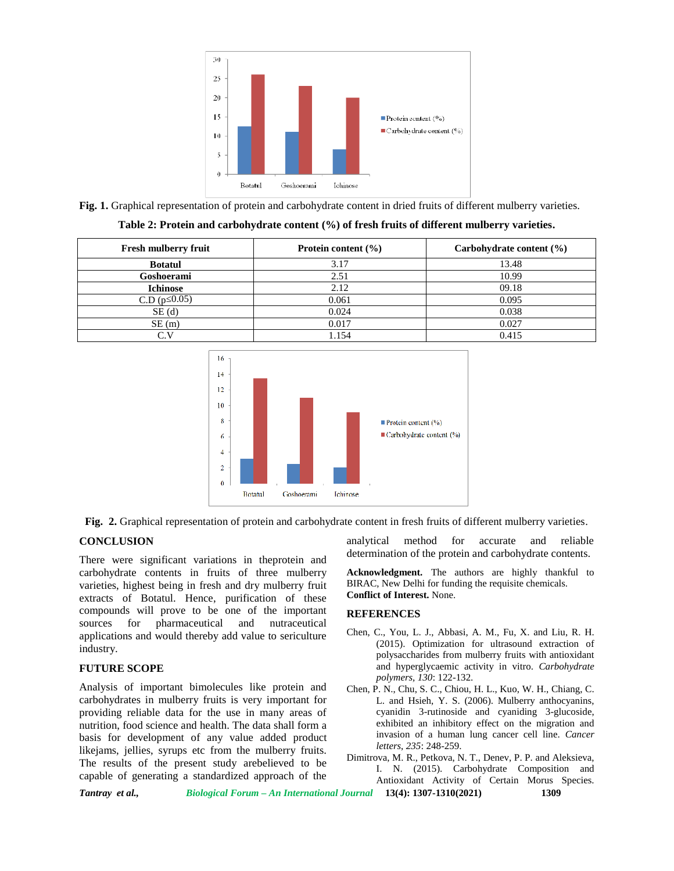

**Fig. 1.** Graphical representation of protein and carbohydrate content in dried fruits of different mulberry varieties.

| Table 2: Protein and carbohydrate content (%) of fresh fruits of different mulberry varieties. |
|------------------------------------------------------------------------------------------------|
|------------------------------------------------------------------------------------------------|

| <b>Fresh mulberry fruit</b> | Protein content $(\% )$ | Carbohydrate content $(\% )$ |
|-----------------------------|-------------------------|------------------------------|
| <b>Botatul</b>              | 3.17                    | 13.48                        |
| Goshoerami                  | 2.51                    | 10.99                        |
| <b>Ichinose</b>             | 2.12                    | 09.18                        |
| C.D(p 0.05)                 | 0.061                   | 0.095                        |
| SE(d)                       | 0.024                   | 0.038                        |
| SE(m)                       | 0.017                   | 0.027                        |
| $\sim$ 11                   | l.154                   | 0.415                        |



**Fig. 2.** Graphical representation of protein and carbohydrate content in fresh fruits of different mulberry varieties.

# **CONCLUSION**

There were significant variations in theprotein and carbohydrate contents in fruits of three mulberry varieties, highest being in fresh and dry mulberry fruit extracts of Botatul. Hence, purification of these compounds will prove to be one of the important sources for pharmaceutical and nutraceutical applications and would thereby add value to sericulture industry.

# **FUTURE SCOPE**

Analysis of important bimolecules like protein and carbohydrates in mulberry fruits is very important for providing reliable data for the use in many areas of nutrition, food science and health. The data shall form a basis for development of any value added product likejams, jellies, syrups etc from the mulberry fruits. The results of the present study arebelieved to be capable of generating a standardized approach of the

analytical method for accurate and reliable determination of the protein and carbohydrate contents.

**Acknowledgment.** The authors are highly thankful to BIRAC, New Delhi for funding the requisite chemicals. **Conflict of Interest.** None.

# **REFERENCES**

- Chen, C., You, L. J., Abbasi, A. M., Fu, X. and Liu, R. H. (2015). Optimization for ultrasound extraction of polysaccharides from mulberry fruits with antioxidant and hyperglycaemic activity in vitro. *Carbohydrate polymers, 130*: 122-132.
- Chen, P. N., Chu, S. C., Chiou, H. L., Kuo, W. H., Chiang, C. L. and Hsieh, Y. S. (2006). Mulberry anthocyanins, cyanidin 3-rutinoside and cyaniding 3-glucoside, exhibited an inhibitory effect on the migration and invasion of a human lung cancer cell line. *Cancer letters*, *235*: 248-259.

Dimitrova, M. R., Petkova, N. T., Denev, P. P. and Aleksieva, I. N. (2015). Carbohydrate Composition and Antioxidant Activity of Certain Morus Species.

*Tantray et al., Biological Forum – An International Journal* **13(4): 1307-1310(2021) 1309**